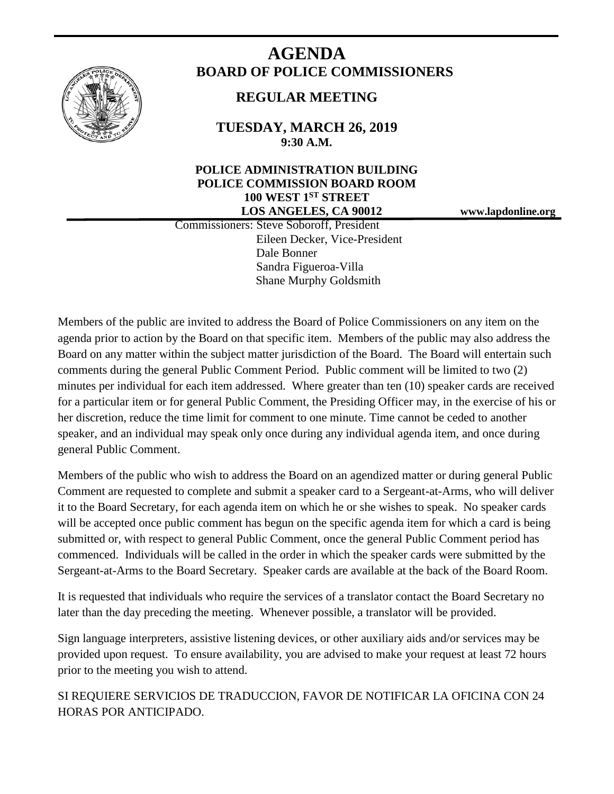

# **AGENDA BOARD OF POLICE COMMISSIONERS**

# **REGULAR MEETING**

**TUESDAY, MARCH 26, 2019 9:30 A.M.**

# **POLICE ADMINISTRATION BUILDING POLICE COMMISSION BOARD ROOM 100 WEST 1ST STREET LOS ANGELES, CA 90012 www.lapdonline.org**

 Commissioners: Steve Soboroff, President Eileen Decker, Vice-President Dale Bonner Sandra Figueroa-Villa Shane Murphy Goldsmith

Members of the public are invited to address the Board of Police Commissioners on any item on the agenda prior to action by the Board on that specific item. Members of the public may also address the Board on any matter within the subject matter jurisdiction of the Board. The Board will entertain such comments during the general Public Comment Period. Public comment will be limited to two (2) minutes per individual for each item addressed. Where greater than ten (10) speaker cards are received for a particular item or for general Public Comment, the Presiding Officer may, in the exercise of his or her discretion, reduce the time limit for comment to one minute. Time cannot be ceded to another speaker, and an individual may speak only once during any individual agenda item, and once during general Public Comment.

Members of the public who wish to address the Board on an agendized matter or during general Public Comment are requested to complete and submit a speaker card to a Sergeant-at-Arms, who will deliver it to the Board Secretary, for each agenda item on which he or she wishes to speak. No speaker cards will be accepted once public comment has begun on the specific agenda item for which a card is being submitted or, with respect to general Public Comment, once the general Public Comment period has commenced. Individuals will be called in the order in which the speaker cards were submitted by the Sergeant-at-Arms to the Board Secretary. Speaker cards are available at the back of the Board Room.

It is requested that individuals who require the services of a translator contact the Board Secretary no later than the day preceding the meeting. Whenever possible, a translator will be provided.

Sign language interpreters, assistive listening devices, or other auxiliary aids and/or services may be provided upon request. To ensure availability, you are advised to make your request at least 72 hours prior to the meeting you wish to attend.

SI REQUIERE SERVICIOS DE TRADUCCION, FAVOR DE NOTIFICAR LA OFICINA CON 24 HORAS POR ANTICIPADO.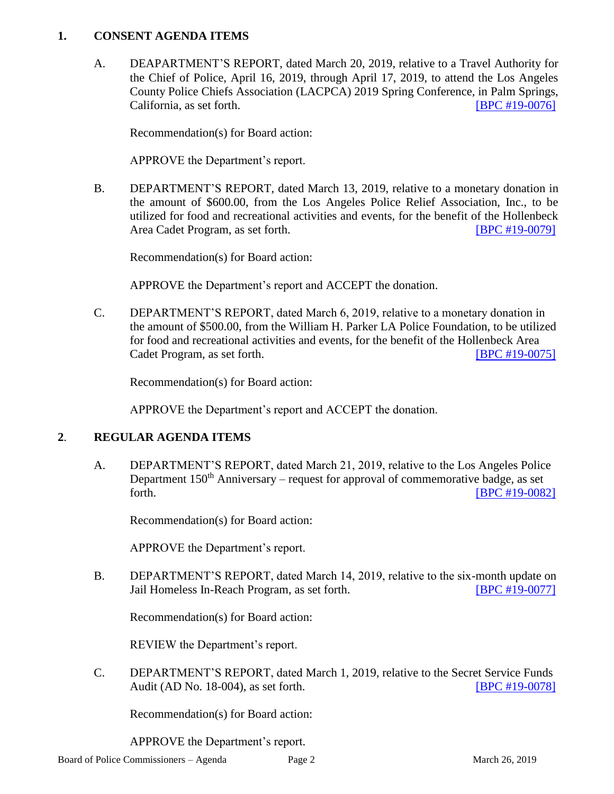### **1. CONSENT AGENDA ITEMS**

A. DEAPARTMENT'S REPORT, dated March 20, 2019, relative to a Travel Authority for the Chief of Police, April 16, 2019, through April 17, 2019, to attend the Los Angeles County Police Chiefs Association (LACPCA) 2019 Spring Conference, in Palm Springs, California, as set forth. **[\[BPC #19-0076\]](http://www.lapdpolicecom.lacity.org/032619/BPC_19-0076.pdf)** 

Recommendation(s) for Board action:

APPROVE the Department's report.

B. DEPARTMENT'S REPORT, dated March 13, 2019, relative to a monetary donation in the amount of \$600.00, from the Los Angeles Police Relief Association, Inc., to be utilized for food and recreational activities and events, for the benefit of the Hollenbeck Area Cadet Program, as set forth. [\[BPC #19-0079\]](http://www.lapdpolicecom.lacity.org/032619/BPC_19-0079.pdf)

Recommendation(s) for Board action:

APPROVE the Department's report and ACCEPT the donation.

C. DEPARTMENT'S REPORT, dated March 6, 2019, relative to a monetary donation in the amount of \$500.00, from the William H. Parker LA Police Foundation, to be utilized for food and recreational activities and events, for the benefit of the Hollenbeck Area Cadet Program, as set forth. **IDPC #19-0075** 

Recommendation(s) for Board action:

APPROVE the Department's report and ACCEPT the donation.

# **2**. **REGULAR AGENDA ITEMS**

A. DEPARTMENT'S REPORT, dated March 21, 2019, relative to the Los Angeles Police Department  $150<sup>th</sup>$  Anniversary – request for approval of commemorative badge, as set forth. [\[BPC #19-0082\]](http://www.lapdpolicecom.lacity.org/032619/BPC_19-0082.pdf)

Recommendation(s) for Board action:

APPROVE the Department's report.

B. DEPARTMENT'S REPORT, dated March 14, 2019, relative to the six-month update on Jail Homeless In-Reach Program, as set forth. [\[BPC #19-0077\]](http://www.lapdpolicecom.lacity.org/032619/BPC_19-0077.pdf)

Recommendation(s) for Board action:

REVIEW the Department's report.

C. DEPARTMENT'S REPORT, dated March 1, 2019, relative to the Secret Service Funds Audit (AD No. 18-004), as set forth. [\[BPC #19-0078\]](http://www.lapdpolicecom.lacity.org/032619/BPC_19-0078.pdf)

Recommendation(s) for Board action:

APPROVE the Department's report.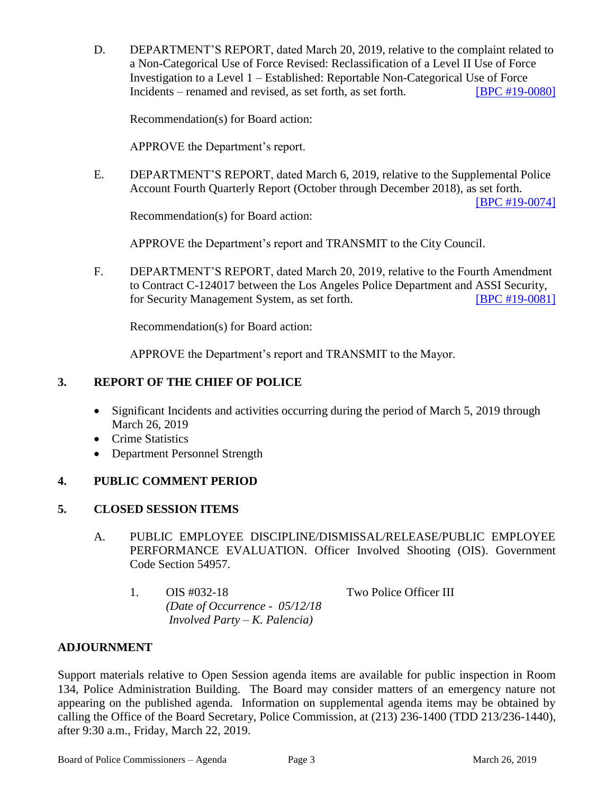D. DEPARTMENT'S REPORT, dated March 20, 2019, relative to the complaint related to a Non-Categorical Use of Force Revised: Reclassification of a Level II Use of Force Investigation to a Level 1 – Established: Reportable Non-Categorical Use of Force Incidents – renamed and revised, as set forth, as set forth. [\[BPC #19-0080\]](http://www.lapdpolicecom.lacity.org/032619/BPC_19-0080.pdf)

Recommendation(s) for Board action:

APPROVE the Department's report.

E. DEPARTMENT'S REPORT, dated March 6, 2019, relative to the Supplemental Police Account Fourth Quarterly Report (October through December 2018), as set forth.

[\[BPC #19-0074\]](http://www.lapdpolicecom.lacity.org/032619/BPC_19-0074.pdf)

Recommendation(s) for Board action:

APPROVE the Department's report and TRANSMIT to the City Council.

F. DEPARTMENT'S REPORT, dated March 20, 2019, relative to the Fourth Amendment to Contract C-124017 between the Los Angeles Police Department and ASSI Security, for Security Management System, as set forth. [\[BPC #19-0081\]](http://www.lapdpolicecom.lacity.org/032619/BPC_19-0081.pdf)

Recommendation(s) for Board action:

APPROVE the Department's report and TRANSMIT to the Mayor.

#### **3. REPORT OF THE CHIEF OF POLICE**

- Significant Incidents and activities occurring during the period of March 5, 2019 through March 26, 2019
- Crime Statistics
- Department Personnel Strength

#### **4. PUBLIC COMMENT PERIOD**

## **5. CLOSED SESSION ITEMS**

- A. PUBLIC EMPLOYEE DISCIPLINE/DISMISSAL/RELEASE/PUBLIC EMPLOYEE PERFORMANCE EVALUATION. Officer Involved Shooting (OIS). Government Code Section 54957.
	- 1. OIS #032-18 Two Police Officer III *(Date of Occurrence - 05/12/18 Involved Party – K. Palencia)*

#### **ADJOURNMENT**

Support materials relative to Open Session agenda items are available for public inspection in Room 134, Police Administration Building. The Board may consider matters of an emergency nature not appearing on the published agenda. Information on supplemental agenda items may be obtained by calling the Office of the Board Secretary, Police Commission, at (213) 236-1400 (TDD 213/236-1440), after 9:30 a.m., Friday, March 22, 2019.